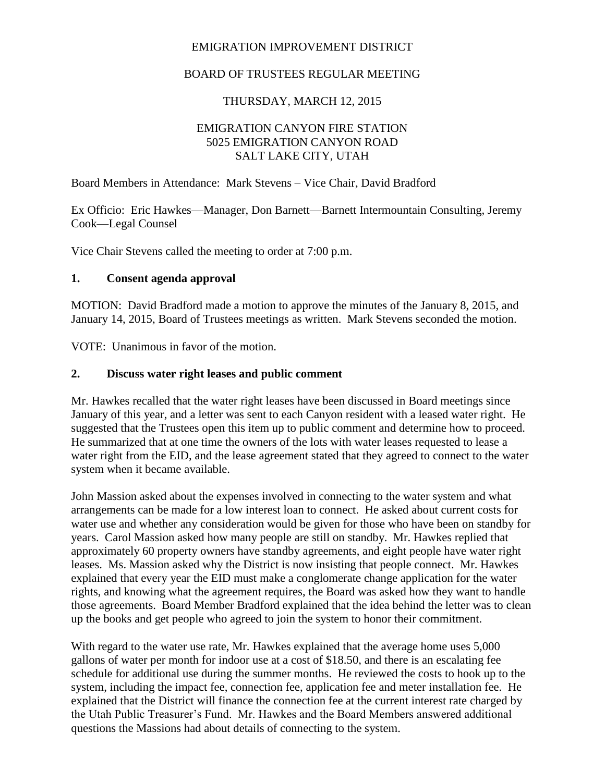### EMIGRATION IMPROVEMENT DISTRICT

## BOARD OF TRUSTEES REGULAR MEETING

## THURSDAY, MARCH 12, 2015

### EMIGRATION CANYON FIRE STATION 5025 EMIGRATION CANYON ROAD SALT LAKE CITY, UTAH

Board Members in Attendance: Mark Stevens – Vice Chair, David Bradford

Ex Officio: Eric Hawkes—Manager, Don Barnett—Barnett Intermountain Consulting, Jeremy Cook—Legal Counsel

Vice Chair Stevens called the meeting to order at 7:00 p.m.

#### **1. Consent agenda approval**

MOTION: David Bradford made a motion to approve the minutes of the January 8, 2015, and January 14, 2015, Board of Trustees meetings as written. Mark Stevens seconded the motion.

VOTE: Unanimous in favor of the motion.

#### **2. Discuss water right leases and public comment**

Mr. Hawkes recalled that the water right leases have been discussed in Board meetings since January of this year, and a letter was sent to each Canyon resident with a leased water right. He suggested that the Trustees open this item up to public comment and determine how to proceed. He summarized that at one time the owners of the lots with water leases requested to lease a water right from the EID, and the lease agreement stated that they agreed to connect to the water system when it became available.

John Massion asked about the expenses involved in connecting to the water system and what arrangements can be made for a low interest loan to connect. He asked about current costs for water use and whether any consideration would be given for those who have been on standby for years. Carol Massion asked how many people are still on standby. Mr. Hawkes replied that approximately 60 property owners have standby agreements, and eight people have water right leases. Ms. Massion asked why the District is now insisting that people connect. Mr. Hawkes explained that every year the EID must make a conglomerate change application for the water rights, and knowing what the agreement requires, the Board was asked how they want to handle those agreements. Board Member Bradford explained that the idea behind the letter was to clean up the books and get people who agreed to join the system to honor their commitment.

With regard to the water use rate, Mr. Hawkes explained that the average home uses 5,000 gallons of water per month for indoor use at a cost of \$18.50, and there is an escalating fee schedule for additional use during the summer months. He reviewed the costs to hook up to the system, including the impact fee, connection fee, application fee and meter installation fee. He explained that the District will finance the connection fee at the current interest rate charged by the Utah Public Treasurer's Fund. Mr. Hawkes and the Board Members answered additional questions the Massions had about details of connecting to the system.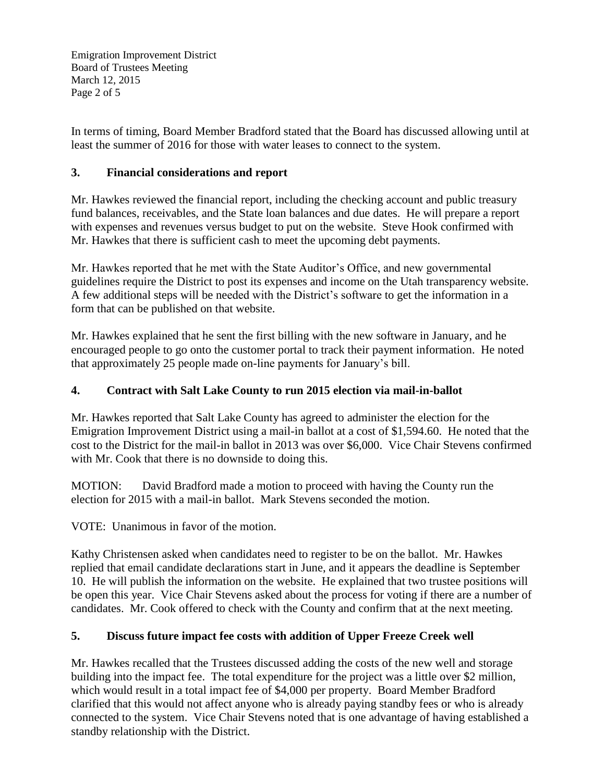Emigration Improvement District Board of Trustees Meeting March 12, 2015 Page 2 of 5

In terms of timing, Board Member Bradford stated that the Board has discussed allowing until at least the summer of 2016 for those with water leases to connect to the system.

## **3. Financial considerations and report**

Mr. Hawkes reviewed the financial report, including the checking account and public treasury fund balances, receivables, and the State loan balances and due dates. He will prepare a report with expenses and revenues versus budget to put on the website. Steve Hook confirmed with Mr. Hawkes that there is sufficient cash to meet the upcoming debt payments.

Mr. Hawkes reported that he met with the State Auditor's Office, and new governmental guidelines require the District to post its expenses and income on the Utah transparency website. A few additional steps will be needed with the District's software to get the information in a form that can be published on that website.

Mr. Hawkes explained that he sent the first billing with the new software in January, and he encouraged people to go onto the customer portal to track their payment information. He noted that approximately 25 people made on-line payments for January's bill.

## **4. Contract with Salt Lake County to run 2015 election via mail-in-ballot**

Mr. Hawkes reported that Salt Lake County has agreed to administer the election for the Emigration Improvement District using a mail-in ballot at a cost of \$1,594.60. He noted that the cost to the District for the mail-in ballot in 2013 was over \$6,000. Vice Chair Stevens confirmed with Mr. Cook that there is no downside to doing this.

MOTION: David Bradford made a motion to proceed with having the County run the election for 2015 with a mail-in ballot. Mark Stevens seconded the motion.

VOTE: Unanimous in favor of the motion.

Kathy Christensen asked when candidates need to register to be on the ballot. Mr. Hawkes replied that email candidate declarations start in June, and it appears the deadline is September 10. He will publish the information on the website. He explained that two trustee positions will be open this year. Vice Chair Stevens asked about the process for voting if there are a number of candidates. Mr. Cook offered to check with the County and confirm that at the next meeting.

# **5. Discuss future impact fee costs with addition of Upper Freeze Creek well**

Mr. Hawkes recalled that the Trustees discussed adding the costs of the new well and storage building into the impact fee. The total expenditure for the project was a little over \$2 million, which would result in a total impact fee of \$4,000 per property. Board Member Bradford clarified that this would not affect anyone who is already paying standby fees or who is already connected to the system. Vice Chair Stevens noted that is one advantage of having established a standby relationship with the District.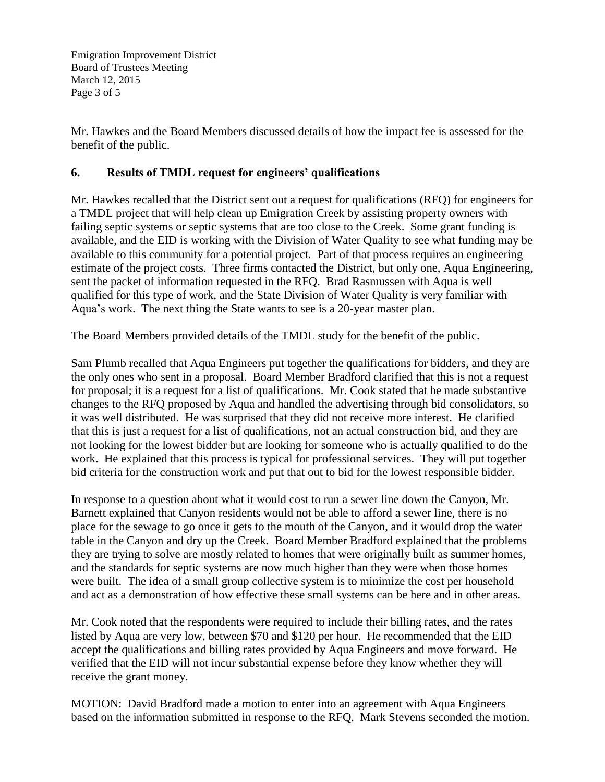Emigration Improvement District Board of Trustees Meeting March 12, 2015 Page 3 of 5

Mr. Hawkes and the Board Members discussed details of how the impact fee is assessed for the benefit of the public.

#### **6. Results of TMDL request for engineers' qualifications**

Mr. Hawkes recalled that the District sent out a request for qualifications (RFQ) for engineers for a TMDL project that will help clean up Emigration Creek by assisting property owners with failing septic systems or septic systems that are too close to the Creek. Some grant funding is available, and the EID is working with the Division of Water Quality to see what funding may be available to this community for a potential project. Part of that process requires an engineering estimate of the project costs. Three firms contacted the District, but only one, Aqua Engineering, sent the packet of information requested in the RFQ. Brad Rasmussen with Aqua is well qualified for this type of work, and the State Division of Water Quality is very familiar with Aqua's work. The next thing the State wants to see is a 20-year master plan.

The Board Members provided details of the TMDL study for the benefit of the public.

Sam Plumb recalled that Aqua Engineers put together the qualifications for bidders, and they are the only ones who sent in a proposal. Board Member Bradford clarified that this is not a request for proposal; it is a request for a list of qualifications. Mr. Cook stated that he made substantive changes to the RFQ proposed by Aqua and handled the advertising through bid consolidators, so it was well distributed. He was surprised that they did not receive more interest. He clarified that this is just a request for a list of qualifications, not an actual construction bid, and they are not looking for the lowest bidder but are looking for someone who is actually qualified to do the work. He explained that this process is typical for professional services. They will put together bid criteria for the construction work and put that out to bid for the lowest responsible bidder.

In response to a question about what it would cost to run a sewer line down the Canyon, Mr. Barnett explained that Canyon residents would not be able to afford a sewer line, there is no place for the sewage to go once it gets to the mouth of the Canyon, and it would drop the water table in the Canyon and dry up the Creek. Board Member Bradford explained that the problems they are trying to solve are mostly related to homes that were originally built as summer homes, and the standards for septic systems are now much higher than they were when those homes were built. The idea of a small group collective system is to minimize the cost per household and act as a demonstration of how effective these small systems can be here and in other areas.

Mr. Cook noted that the respondents were required to include their billing rates, and the rates listed by Aqua are very low, between \$70 and \$120 per hour. He recommended that the EID accept the qualifications and billing rates provided by Aqua Engineers and move forward. He verified that the EID will not incur substantial expense before they know whether they will receive the grant money.

MOTION: David Bradford made a motion to enter into an agreement with Aqua Engineers based on the information submitted in response to the RFQ. Mark Stevens seconded the motion.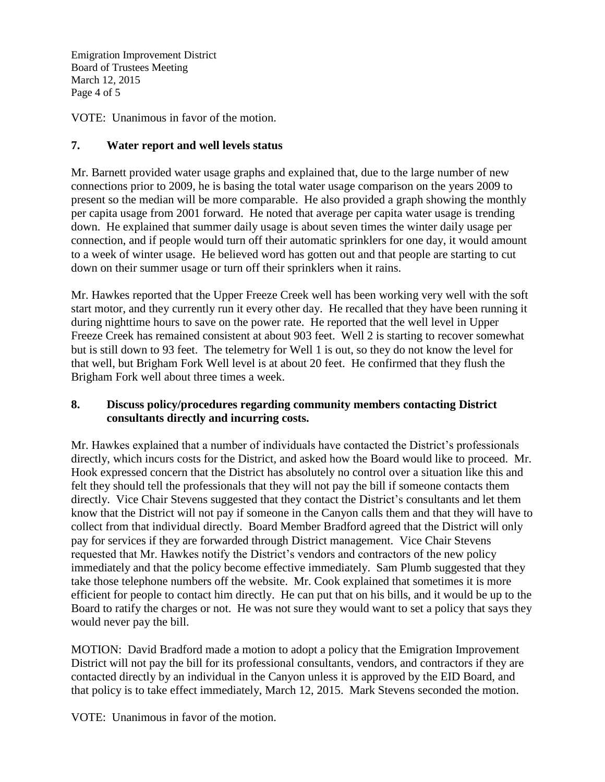Emigration Improvement District Board of Trustees Meeting March 12, 2015 Page 4 of 5

VOTE: Unanimous in favor of the motion.

### **7. Water report and well levels status**

Mr. Barnett provided water usage graphs and explained that, due to the large number of new connections prior to 2009, he is basing the total water usage comparison on the years 2009 to present so the median will be more comparable. He also provided a graph showing the monthly per capita usage from 2001 forward. He noted that average per capita water usage is trending down. He explained that summer daily usage is about seven times the winter daily usage per connection, and if people would turn off their automatic sprinklers for one day, it would amount to a week of winter usage. He believed word has gotten out and that people are starting to cut down on their summer usage or turn off their sprinklers when it rains.

Mr. Hawkes reported that the Upper Freeze Creek well has been working very well with the soft start motor, and they currently run it every other day. He recalled that they have been running it during nighttime hours to save on the power rate. He reported that the well level in Upper Freeze Creek has remained consistent at about 903 feet. Well 2 is starting to recover somewhat but is still down to 93 feet. The telemetry for Well 1 is out, so they do not know the level for that well, but Brigham Fork Well level is at about 20 feet. He confirmed that they flush the Brigham Fork well about three times a week.

### **8. Discuss policy/procedures regarding community members contacting District consultants directly and incurring costs.**

Mr. Hawkes explained that a number of individuals have contacted the District's professionals directly, which incurs costs for the District, and asked how the Board would like to proceed. Mr. Hook expressed concern that the District has absolutely no control over a situation like this and felt they should tell the professionals that they will not pay the bill if someone contacts them directly. Vice Chair Stevens suggested that they contact the District's consultants and let them know that the District will not pay if someone in the Canyon calls them and that they will have to collect from that individual directly. Board Member Bradford agreed that the District will only pay for services if they are forwarded through District management. Vice Chair Stevens requested that Mr. Hawkes notify the District's vendors and contractors of the new policy immediately and that the policy become effective immediately. Sam Plumb suggested that they take those telephone numbers off the website. Mr. Cook explained that sometimes it is more efficient for people to contact him directly. He can put that on his bills, and it would be up to the Board to ratify the charges or not. He was not sure they would want to set a policy that says they would never pay the bill.

MOTION: David Bradford made a motion to adopt a policy that the Emigration Improvement District will not pay the bill for its professional consultants, vendors, and contractors if they are contacted directly by an individual in the Canyon unless it is approved by the EID Board, and that policy is to take effect immediately, March 12, 2015. Mark Stevens seconded the motion.

VOTE: Unanimous in favor of the motion.